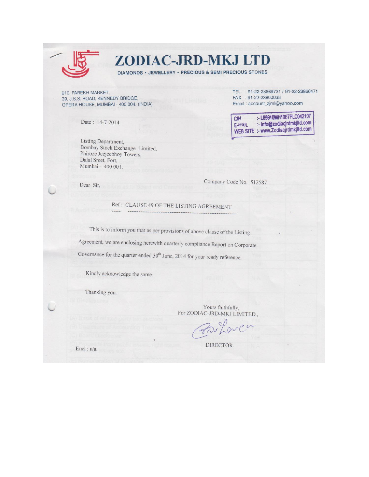

## ZODIAC-JRD-MKJ LTD

DIAMONDS · JEWELLERY · PRECIOUS & SEMI PRECIOUS STONES

910, PAREKH MARKET, 39, J.S.S. ROAD, KENNEDY BRIDGE, OPERA HOUSE, MUMBAI - 400 004. (INDIA)

Date: 14-7-2014

Listing Department, Bombay Stock Exchange Limited, Phiroze Jeejeebhoy Towers, Dalal Sreet, Fort, Mumbai - 400 001.

TEL.: 91-22-23869731 / 91-22-23866471 FAX : 91-22-23800038 Email: account\_zjml@yahoo.com

:- L65910MH1987PLC042107 **CIN** :- info@zodiacjrdmkjltd.com EAMAIL WEB SITE :- www.Zodiacjrdmkjltd.com

Dear Sir,

Company Code No. 512587

Ref: CLAUSE 49 OF THE LISTING AGREEMENT

This is to inform you that as per provisions of above clause of the Listing Agreement, we are enclosing herewith quarterly compliance Report on Corporate Governance for the quarter ended 30<sup>th</sup> June, 2014 for your ready reference.

Kindly acknowledge the same.

Thanking you.

Yours faithfully, For ZODIAC-JRD-MKJ LIMITED.,

DIRECTOR.

Encl: a/a.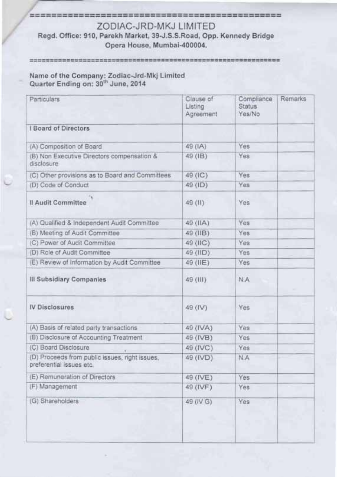#### 

## ZODIAC-JRD-MKJ LIMITED

### Regd. Office: 910, Parekh Market, 39-J.S.S.Road, Opp. Kennedy Bridge Opera House, Mumbai-400004.

#### 

# Name of the Company: Zodiac-Jrd-Mkj Limited<br>Quarter Ending on: 30<sup>th</sup> June, 2014

| Particulars                                                                | Clause of<br>Listing<br>Agreement | Compliance<br><b>Status</b><br>Yes/No | Remarks |
|----------------------------------------------------------------------------|-----------------------------------|---------------------------------------|---------|
| I Board of Directors                                                       |                                   |                                       |         |
| (A) Composition of Board                                                   | 49 (IA)                           | Yes                                   |         |
| (B) Non Executive Directors compensation &<br>disclosure                   | 49 (IB)                           | Yes                                   |         |
| (C) Other provisions as to Board and Committees                            | 49 (IC)                           | Yes                                   |         |
| (D) Code of Conduct                                                        | 49 (ID)                           | Yes                                   |         |
| Il Audit Committee                                                         | 49 (II)                           | Yes                                   |         |
| (A) Qualified & Independent Audit Committee                                | 49 (IIA)                          | Yes                                   |         |
| (B) Meeting of Audit Committee                                             | 49 (IIB)                          | Yes                                   |         |
| (C) Power of Audit Committee                                               | 49 (IIC)                          | Yes                                   |         |
| (D) Role of Audit Committee                                                | 49 (IID)                          | Yes                                   |         |
| (E) Review of Information by Audit Committee                               | 49 (IIE)                          | Yes                                   |         |
| III Subsidiary Companies                                                   | 49 (III)                          | <b>N.A</b>                            |         |
| <b>IV Disclosures</b>                                                      | 49 (IV)                           | Yes                                   |         |
| (A) Basis of related party transactions                                    | 49 (IVA)                          | Yes                                   |         |
| (B) Disclosure of Accounting Treatment                                     | 49 (IVB)                          | Yes                                   |         |
| (C) Board Disclosure                                                       | 49 (IVC)                          | Yes                                   |         |
| (D) Proceeds from public issues, right issues,<br>preferential issues etc. | 49 (IVD)                          | N.A                                   |         |
| (E) Remuneration of Directors                                              | 49 (IVE)                          | Yes                                   |         |
| (F) Management                                                             | 49 (IVF)                          | Yes                                   |         |
| (G) Shareholders                                                           | 49 (IV G)                         | Yes                                   |         |
|                                                                            |                                   |                                       |         |